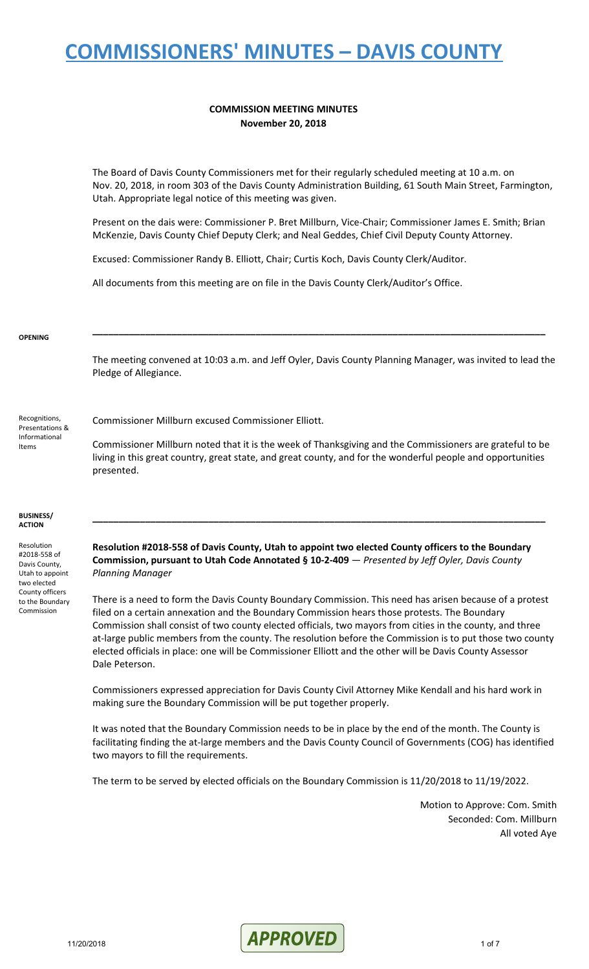#### **COMMISSION MEETING MINUTES November 20, 2018**

The Board of Davis County Commissioners met for their regularly scheduled meeting at 10 a.m. on Nov. 20, 2018, in room 303 of the Davis County Administration Building, 61 South Main Street, Farmington, Utah. Appropriate legal notice of this meeting was given.

Present on the dais were: Commissioner P. Bret Millburn, Vice-Chair; Commissioner James E. Smith; Brian McKenzie, Davis County Chief Deputy Clerk; and Neal Geddes, Chief Civil Deputy County Attorney.

Excused: Commissioner Randy B. Elliott, Chair; Curtis Koch, Davis County Clerk/Auditor.

All documents from this meeting are on file in the Davis County Clerk/Auditor's Office.

#### **OPENING**

The meeting convened at 10:03 a.m. and Jeff Oyler, Davis County Planning Manager, was invited to lead the Pledge of Allegiance.

**\_\_\_\_\_\_\_\_\_\_\_\_\_\_\_\_\_\_\_\_\_\_\_\_\_\_\_\_\_\_\_\_\_\_\_\_\_\_\_\_\_\_\_\_\_\_\_\_\_\_\_\_\_\_\_\_\_\_\_\_\_\_\_\_\_\_\_\_\_\_\_\_\_\_\_\_\_\_\_\_\_\_\_\_\_\_**

Recognitions, Presentations & Informational Items

Commissioner Millburn excused Commissioner Elliott.

Commissioner Millburn noted that it is the week of Thanksgiving and the Commissioners are grateful to be living in this great country, great state, and great county, and for the wonderful people and opportunities presented.

**\_\_\_\_\_\_\_\_\_\_\_\_\_\_\_\_\_\_\_\_\_\_\_\_\_\_\_\_\_\_\_\_\_\_\_\_\_\_\_\_\_\_\_\_\_\_\_\_\_\_\_\_\_\_\_\_\_\_\_\_\_\_\_\_\_\_\_\_\_\_\_\_\_\_\_\_\_\_\_\_\_\_\_\_\_\_**

#### **BUSINESS/ ACTION**

Resolution #2018-558 of Davis County, Utah to appoint two elected County officers to the Boundary Commission

**Resolution #2018-558 of Davis County, Utah to appoint two elected County officers to the Boundary Commission, pursuant to Utah Code Annotated § 10-2-409** — *Presented by Jeff Oyler, Davis County Planning Manager*

There is a need to form the Davis County Boundary Commission. This need has arisen because of a protest filed on a certain annexation and the Boundary Commission hears those protests. The Boundary Commission shall consist of two county elected officials, two mayors from cities in the county, and three at-large public members from the county. The resolution before the Commission is to put those two county elected officials in place: one will be Commissioner Elliott and the other will be Davis County Assessor Dale Peterson.

Commissioners expressed appreciation for Davis County Civil Attorney Mike Kendall and his hard work in making sure the Boundary Commission will be put together properly.

It was noted that the Boundary Commission needs to be in place by the end of the month. The County is facilitating finding the at-large members and the Davis County Council of Governments (COG) has identified two mayors to fill the requirements.

The term to be served by elected officials on the Boundary Commission is 11/20/2018 to 11/19/2022.

Motion to Approve: Com. Smith Seconded: Com. Millburn All voted Aye

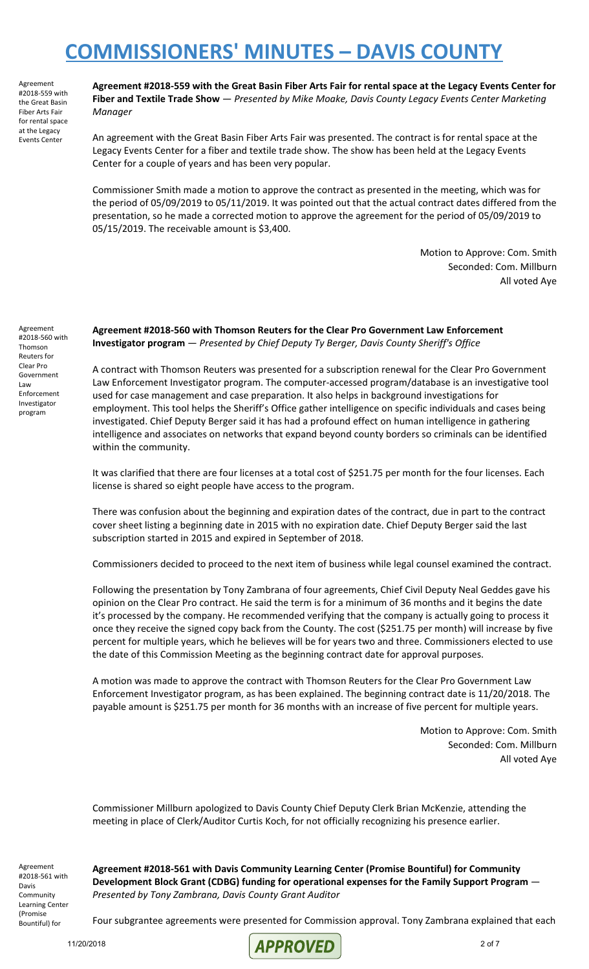Agreement #2018-559 with the Great Basin Fiber Arts Fair for rental space at the Legacy Events Center

Agreement #2018-559 with the Great Basin Fiber Arts Fair for rental space at the Legacy Events Center for **Fiber and Textile Trade Show** — *Presented by Mike Moake, Davis County Legacy Events Center Marketing Manager*

An agreement with the Great Basin Fiber Arts Fair was presented. The contract is for rental space at the Legacy Events Center for a fiber and textile trade show. The show has been held at the Legacy Events Center for a couple of years and has been very popular.

Commissioner Smith made a motion to approve the contract as presented in the meeting, which was for the period of 05/09/2019 to 05/11/2019. It was pointed out that the actual contract dates differed from the presentation, so he made a corrected motion to approve the agreement for the period of 05/09/2019 to 05/15/2019. The receivable amount is \$3,400.

> Motion to Approve: Com. Smith Seconded: Com. Millburn All voted Aye

Agreement #2018-560 with Thomson Reuters for Clear Pro Government Law Enforcement Investigator program

**Agreement #2018-560 with Thomson Reuters for the Clear Pro Government Law Enforcement Investigator program** — *Presented by Chief Deputy Ty Berger, Davis County Sheriff's Office*

A contract with Thomson Reuters was presented for a subscription renewal for the Clear Pro Government Law Enforcement Investigator program. The computer-accessed program/database is an investigative tool used for case management and case preparation. It also helps in background investigations for employment. This tool helps the Sheriff's Office gather intelligence on specific individuals and cases being investigated. Chief Deputy Berger said it has had a profound effect on human intelligence in gathering intelligence and associates on networks that expand beyond county borders so criminals can be identified within the community.

It was clarified that there are four licenses at a total cost of \$251.75 per month for the four licenses. Each license is shared so eight people have access to the program.

There was confusion about the beginning and expiration dates of the contract, due in part to the contract cover sheet listing a beginning date in 2015 with no expiration date. Chief Deputy Berger said the last subscription started in 2015 and expired in September of 2018.

Commissioners decided to proceed to the next item of business while legal counsel examined the contract.

Following the presentation by Tony Zambrana of four agreements, Chief Civil Deputy Neal Geddes gave his opinion on the Clear Pro contract. He said the term is for a minimum of 36 months and it begins the date it's processed by the company. He recommended verifying that the company is actually going to process it once they receive the signed copy back from the County. The cost (\$251.75 per month) will increase by five percent for multiple years, which he believes will be for years two and three. Commissioners elected to use the date of this Commission Meeting as the beginning contract date for approval purposes.

A motion was made to approve the contract with Thomson Reuters for the Clear Pro Government Law Enforcement Investigator program, as has been explained. The beginning contract date is 11/20/2018. The payable amount is \$251.75 per month for 36 months with an increase of five percent for multiple years.

> Motion to Approve: Com. Smith Seconded: Com. Millburn All voted Aye

Commissioner Millburn apologized to Davis County Chief Deputy Clerk Brian McKenzie, attending the meeting in place of Clerk/Auditor Curtis Koch, for not officially recognizing his presence earlier.

Agreement #2018-561 with Davis Community Learning Center (Promise Bountiful) for

**Agreement #2018-561 with Davis Community Learning Center (Promise Bountiful) for Community Development Block Grant (CDBG) funding for operational expenses for the Family Support Program** — *Presented by Tony Zambrana, Davis County Grant Auditor*

Four subgrantee agreements were presented for Commission approval. Tony Zambrana explained that each

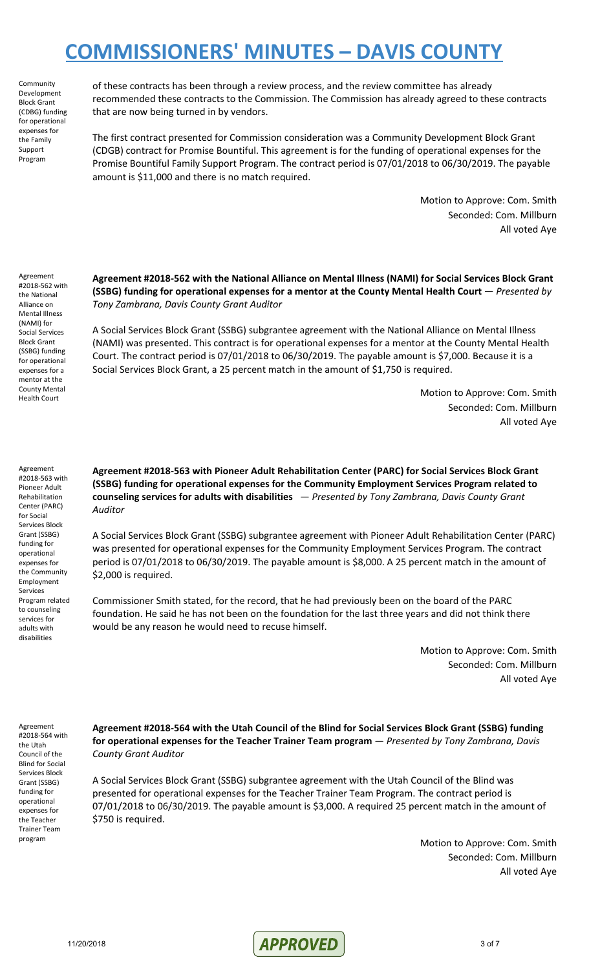**Community** Development Block Grant (CDBG) funding for operational expenses for the Family Support Program

of these contracts has been through a review process, and the review committee has already recommended these contracts to the Commission. The Commission has already agreed to these contracts that are now being turned in by vendors.

The first contract presented for Commission consideration was a Community Development Block Grant (CDGB) contract for Promise Bountiful. This agreement is for the funding of operational expenses for the Promise Bountiful Family Support Program. The contract period is 07/01/2018 to 06/30/2019. The payable amount is \$11,000 and there is no match required.

> Motion to Approve: Com. Smith Seconded: Com. Millburn All voted Aye

Agreement #2018-562 with the National Alliance on Mental Illness (NAMI) for Social Services Block Grant (SSBG) funding for operational expenses for a mentor at the County Mental Health Court

**Agreement #2018-562 with the National Alliance on Mental Illness (NAMI) for Social Services Block Grant (SSBG) funding for operational expenses for a mentor at the County Mental Health Court** — *Presented by Tony Zambrana, Davis County Grant Auditor*

A Social Services Block Grant (SSBG) subgrantee agreement with the National Alliance on Mental Illness (NAMI) was presented. This contract is for operational expenses for a mentor at the County Mental Health Court. The contract period is 07/01/2018 to 06/30/2019. The payable amount is \$7,000. Because it is a Social Services Block Grant, a 25 percent match in the amount of \$1,750 is required.

> Motion to Approve: Com. Smith Seconded: Com. Millburn All voted Aye

Agreement #2018-563 with Pioneer Adult Rehabilitation Center (PARC) for Social Services Block Grant (SSBG) funding for operational expenses for the Community Employment Services Program related to counseling services for adults with disabilities

**Agreement #2018-563 with Pioneer Adult Rehabilitation Center (PARC) for Social Services Block Grant (SSBG) funding for operational expenses for the Community Employment Services Program related to counseling services for adults with disabilities** — *Presented by Tony Zambrana, Davis County Grant Auditor*

A Social Services Block Grant (SSBG) subgrantee agreement with Pioneer Adult Rehabilitation Center (PARC) was presented for operational expenses for the Community Employment Services Program. The contract period is 07/01/2018 to 06/30/2019. The payable amount is \$8,000. A 25 percent match in the amount of \$2,000 is required.

Commissioner Smith stated, for the record, that he had previously been on the board of the PARC foundation. He said he has not been on the foundation for the last three years and did not think there would be any reason he would need to recuse himself.

> Motion to Approve: Com. Smith Seconded: Com. Millburn All voted Aye

Agreement #2018-564 with the Utah Council of the Blind for Social Services Block Grant (SSBG) funding for operational expenses for the Teacher Trainer Team program

**Agreement #2018-564 with the Utah Council of the Blind for Social Services Block Grant (SSBG) funding for operational expenses for the Teacher Trainer Team program** — *Presented by Tony Zambrana, Davis County Grant Auditor*

A Social Services Block Grant (SSBG) subgrantee agreement with the Utah Council of the Blind was presented for operational expenses for the Teacher Trainer Team Program. The contract period is 07/01/2018 to 06/30/2019. The payable amount is \$3,000. A required 25 percent match in the amount of \$750 is required.

> Motion to Approve: Com. Smith Seconded: Com. Millburn All voted Aye

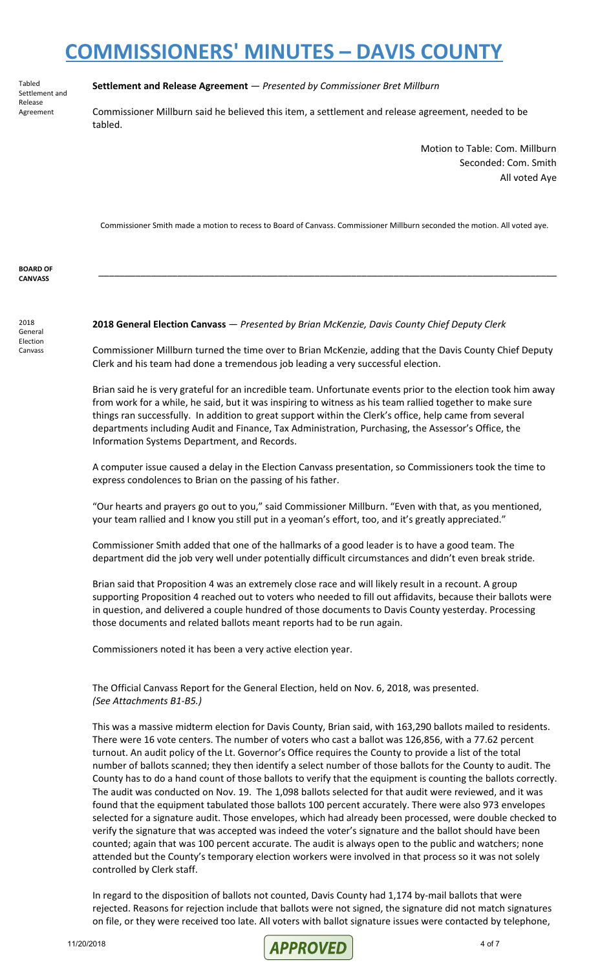Tabled Settlement and Release Agreement

#### **Settlement and Release Agreement** — *Presented by Commissioner Bret Millburn*

Commissioner Millburn said he believed this item, a settlement and release agreement, needed to be tabled.

> Motion to Table: Com. Millburn Seconded: Com. Smith All voted Aye

Commissioner Smith made a motion to recess to Board of Canvass. Commissioner Millburn seconded the motion. All voted aye.

\_\_\_\_\_\_\_\_\_\_\_\_\_\_\_\_\_\_\_\_\_\_\_\_\_\_\_\_\_\_\_\_\_\_\_\_\_\_\_\_\_\_\_\_\_\_\_\_\_\_\_\_\_\_\_\_\_\_\_\_\_\_\_\_\_\_\_\_\_\_\_\_\_\_\_\_\_\_\_\_\_\_\_\_\_\_\_

**BOARD OF CANVASS**

2018 General Election Canvass

**2018 General Election Canvass** — *Presented by Brian McKenzie, Davis County Chief Deputy Clerk*

Commissioner Millburn turned the time over to Brian McKenzie, adding that the Davis County Chief Deputy Clerk and his team had done a tremendous job leading a very successful election.

Brian said he is very grateful for an incredible team. Unfortunate events prior to the election took him away from work for a while, he said, but it was inspiring to witness as his team rallied together to make sure things ran successfully. In addition to great support within the Clerk's office, help came from several departments including Audit and Finance, Tax Administration, Purchasing, the Assessor's Office, the Information Systems Department, and Records.

A computer issue caused a delay in the Election Canvass presentation, so Commissioners took the time to express condolences to Brian on the passing of his father.

"Our hearts and prayers go out to you," said Commissioner Millburn. "Even with that, as you mentioned, your team rallied and I know you still put in a yeoman's effort, too, and it's greatly appreciated."

Commissioner Smith added that one of the hallmarks of a good leader is to have a good team. The department did the job very well under potentially difficult circumstances and didn't even break stride.

Brian said that Proposition 4 was an extremely close race and will likely result in a recount. A group supporting Proposition 4 reached out to voters who needed to fill out affidavits, because their ballots were in question, and delivered a couple hundred of those documents to Davis County yesterday. Processing those documents and related ballots meant reports had to be run again.

Commissioners noted it has been a very active election year.

The Official Canvass Report for the General Election, held on Nov. 6, 2018, was presented. *(See Attachments B1-B5.)*

This was a massive midterm election for Davis County, Brian said, with 163,290 ballots mailed to residents. There were 16 vote centers. The number of voters who cast a ballot was 126,856, with a 77.62 percent turnout. An audit policy of the Lt. Governor's Office requires the County to provide a list of the total number of ballots scanned; they then identify a select number of those ballots for the County to audit. The County has to do a hand count of those ballots to verify that the equipment is counting the ballots correctly. The audit was conducted on Nov. 19. The 1,098 ballots selected for that audit were reviewed, and it was found that the equipment tabulated those ballots 100 percent accurately. There were also 973 envelopes selected for a signature audit. Those envelopes, which had already been processed, were double checked to verify the signature that was accepted was indeed the voter's signature and the ballot should have been counted; again that was 100 percent accurate. The audit is always open to the public and watchers; none attended but the County's temporary election workers were involved in that process so it was not solely controlled by Clerk staff.

In regard to the disposition of ballots not counted, Davis County had 1,174 by-mail ballots that were rejected. Reasons for rejection include that ballots were not signed, the signature did not match signatures on file, or they were received too late. All voters with ballot signature issues were contacted by telephone,

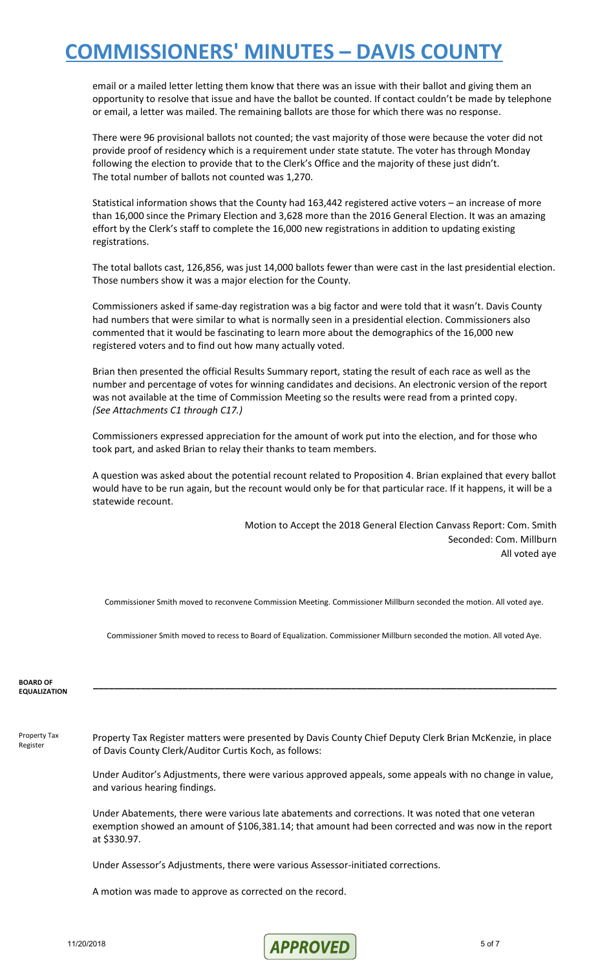email or a mailed letter letting them know that there was an issue with their ballot and giving them an opportunity to resolve that issue and have the ballot be counted. If contact couldn't be made by telephone or email, a letter was mailed. The remaining ballots are those for which there was no response.

There were 96 provisional ballots not counted; the vast majority of those were because the voter did not provide proof of residency which is a requirement under state statute. The voter has through Monday following the election to provide that to the Clerk's Office and the majority of these just didn't. The total number of ballots not counted was 1,270.

Statistical information shows that the County had 163,442 registered active voters – an increase of more than 16,000 since the Primary Election and 3,628 more than the 2016 General Election. It was an amazing effort by the Clerk's staff to complete the 16,000 new registrations in addition to updating existing registrations.

The total ballots cast, 126,856, was just 14,000 ballots fewer than were cast in the last presidential election. Those numbers show it was a major election for the County.

Commissioners asked if same-day registration was a big factor and were told that it wasn't. Davis County had numbers that were similar to what is normally seen in a presidential election. Commissioners also commented that it would be fascinating to learn more about the demographics of the 16,000 new registered voters and to find out how many actually voted.

Brian then presented the official Results Summary report, stating the result of each race as well as the number and percentage of votes for winning candidates and decisions. An electronic version of the report was not available at the time of Commission Meeting so the results were read from a printed copy. *(See Attachments C1 through C17.)*

Commissioners expressed appreciation for the amount of work put into the election, and for those who took part, and asked Brian to relay their thanks to team members.

A question was asked about the potential recount related to Proposition 4. Brian explained that every ballot would have to be run again, but the recount would only be for that particular race. If it happens, it will be a statewide recount.

> Motion to Accept the 2018 General Election Canvass Report: Com. Smith Seconded: Com. Millburn All voted aye

Commissioner Smith moved to reconvene Commission Meeting. Commissioner Millburn seconded the motion. All voted aye.

Commissioner Smith moved to recess to Board of Equalization. Commissioner Millburn seconded the motion. All voted Aye.

**\_\_\_\_\_\_\_\_\_\_\_\_\_\_\_\_\_\_\_\_\_\_\_\_\_\_\_\_\_\_\_\_\_\_\_\_\_\_\_\_\_\_\_\_\_\_\_\_\_\_\_\_\_\_\_\_\_\_\_\_\_\_\_\_\_\_\_\_\_\_\_\_\_\_\_\_\_\_\_\_\_\_\_\_\_\_\_\_**

#### **BOARD OF EQUALIZATION**

Property Tax Register

Property Tax Register matters were presented by Davis County Chief Deputy Clerk Brian McKenzie, in place of Davis County Clerk/Auditor Curtis Koch, as follows:

Under Auditor's Adjustments, there were various approved appeals, some appeals with no change in value, and various hearing findings.

Under Abatements, there were various late abatements and corrections. It was noted that one veteran exemption showed an amount of \$106,381.14; that amount had been corrected and was now in the report at \$330.97.

Under Assessor's Adjustments, there were various Assessor-initiated corrections.

A motion was made to approve as corrected on the record.

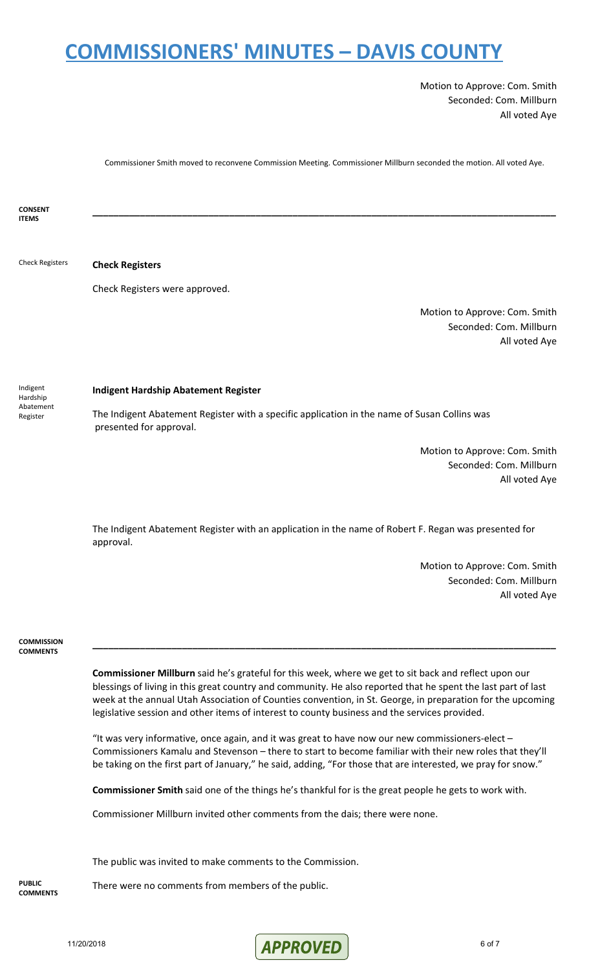Motion to Approve: Com. Smith Seconded: Com. Millburn All voted Aye

Commissioner Smith moved to reconvene Commission Meeting. Commissioner Millburn seconded the motion. All voted Aye.

| <b>CONSENT</b>                |                                                                                                                                                                                                                                                                                                                                                                                                                                       |
|-------------------------------|---------------------------------------------------------------------------------------------------------------------------------------------------------------------------------------------------------------------------------------------------------------------------------------------------------------------------------------------------------------------------------------------------------------------------------------|
| <b>ITEMS</b>                  |                                                                                                                                                                                                                                                                                                                                                                                                                                       |
| <b>Check Registers</b>        | <b>Check Registers</b>                                                                                                                                                                                                                                                                                                                                                                                                                |
|                               | Check Registers were approved.                                                                                                                                                                                                                                                                                                                                                                                                        |
|                               |                                                                                                                                                                                                                                                                                                                                                                                                                                       |
|                               | Motion to Approve: Com. Smith<br>Seconded: Com. Millburn<br>All voted Aye                                                                                                                                                                                                                                                                                                                                                             |
| Indigent<br>Hardship          | <b>Indigent Hardship Abatement Register</b>                                                                                                                                                                                                                                                                                                                                                                                           |
| Abatement<br>Register         | The Indigent Abatement Register with a specific application in the name of Susan Collins was<br>presented for approval.                                                                                                                                                                                                                                                                                                               |
|                               | Motion to Approve: Com. Smith                                                                                                                                                                                                                                                                                                                                                                                                         |
|                               | Seconded: Com. Millburn                                                                                                                                                                                                                                                                                                                                                                                                               |
|                               | All voted Aye                                                                                                                                                                                                                                                                                                                                                                                                                         |
|                               |                                                                                                                                                                                                                                                                                                                                                                                                                                       |
|                               | The Indigent Abatement Register with an application in the name of Robert F. Regan was presented for<br>approval.                                                                                                                                                                                                                                                                                                                     |
|                               | Motion to Approve: Com. Smith                                                                                                                                                                                                                                                                                                                                                                                                         |
|                               | Seconded: Com. Millburn<br>All voted Aye                                                                                                                                                                                                                                                                                                                                                                                              |
|                               |                                                                                                                                                                                                                                                                                                                                                                                                                                       |
|                               |                                                                                                                                                                                                                                                                                                                                                                                                                                       |
| COMMISSION<br><b>COMMENTS</b> |                                                                                                                                                                                                                                                                                                                                                                                                                                       |
|                               | Commissioner Millburn said he's grateful for this week, where we get to sit back and reflect upon our<br>blessings of living in this great country and community. He also reported that he spent the last part of last<br>week at the annual Utah Association of Counties convention, in St. George, in preparation for the upcoming<br>legislative session and other items of interest to county business and the services provided. |
|                               | "It was very informative, once again, and it was great to have now our new commissioners-elect -<br>Commissioners Kamalu and Stevenson - there to start to become familiar with their new roles that they'll<br>be taking on the first part of January," he said, adding, "For those that are interested, we pray for snow."                                                                                                          |
|                               | Commissioner Smith said one of the things he's thankful for is the great people he gets to work with.                                                                                                                                                                                                                                                                                                                                 |
|                               | Commissioner Millburn invited other comments from the dais; there were none.                                                                                                                                                                                                                                                                                                                                                          |
|                               | The public was invited to make comments to the Commission.                                                                                                                                                                                                                                                                                                                                                                            |
| <b>PUBLIC</b>                 | There were no comments from members of the public.                                                                                                                                                                                                                                                                                                                                                                                    |

**COMMENTS**